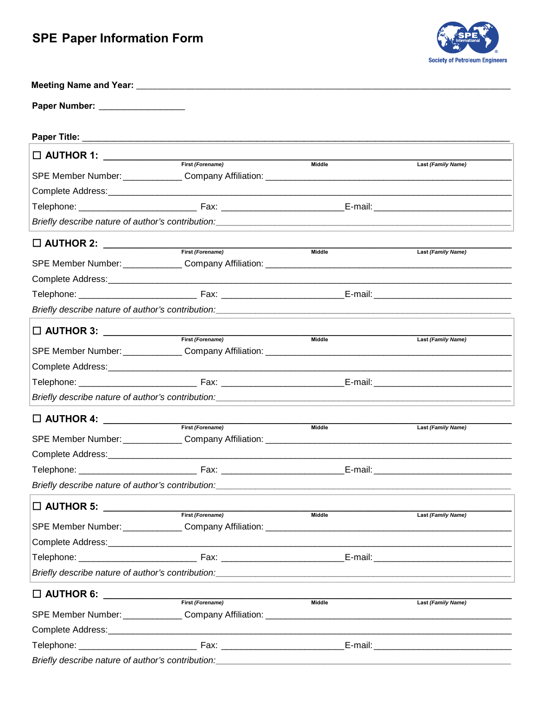## **SPE Paper Information Form**



| Paper Number: ___________________                                                                           |                                                                                                                                                                                                                                |               |                    |
|-------------------------------------------------------------------------------------------------------------|--------------------------------------------------------------------------------------------------------------------------------------------------------------------------------------------------------------------------------|---------------|--------------------|
|                                                                                                             |                                                                                                                                                                                                                                |               |                    |
| □ AUTHOR 1: _______________                                                                                 | First (Forename)                                                                                                                                                                                                               |               |                    |
|                                                                                                             |                                                                                                                                                                                                                                | Middle        | Last (Family Name) |
|                                                                                                             |                                                                                                                                                                                                                                |               |                    |
|                                                                                                             |                                                                                                                                                                                                                                |               |                    |
|                                                                                                             |                                                                                                                                                                                                                                |               |                    |
| $\square$ AUTHOR 2: $\_\_$                                                                                  |                                                                                                                                                                                                                                |               |                    |
|                                                                                                             | First (Forename)                                                                                                                                                                                                               | <b>Middle</b> | Last (Family Name) |
|                                                                                                             |                                                                                                                                                                                                                                |               |                    |
|                                                                                                             |                                                                                                                                                                                                                                |               |                    |
|                                                                                                             |                                                                                                                                                                                                                                |               |                    |
|                                                                                                             |                                                                                                                                                                                                                                |               |                    |
|                                                                                                             | $\boxed{\phantom{2}\phantom{2}\phantom{2}}\hspace{20mm}\text{AUTHOR 3:}\ \_\_\_\text{First (Forename)}$                                                                                                                        | Middle        | Last (Family Name) |
|                                                                                                             |                                                                                                                                                                                                                                |               |                    |
|                                                                                                             |                                                                                                                                                                                                                                |               |                    |
|                                                                                                             |                                                                                                                                                                                                                                |               |                    |
|                                                                                                             |                                                                                                                                                                                                                                |               |                    |
| $\square$ AUTHOR 4: $\_\_\_\_\_\_\_\_\_\_\_\_\_\_\_\_\_\_\_\_$                                              |                                                                                                                                                                                                                                |               |                    |
|                                                                                                             | First (Forename)                                                                                                                                                                                                               | Middle        | Last (Family Name) |
|                                                                                                             |                                                                                                                                                                                                                                |               |                    |
|                                                                                                             |                                                                                                                                                                                                                                |               |                    |
|                                                                                                             |                                                                                                                                                                                                                                |               |                    |
|                                                                                                             | Briefly describe nature of author's contribution: National Content of the content of the content of the content of the content of the content of the content of the content of the content of the content of the content of th |               |                    |
|                                                                                                             | First (Forename)                                                                                                                                                                                                               | Middle        | Last (Family Name) |
|                                                                                                             | SPE Member Number: Company Affiliation: Company Affiliation: Company Affiliation:                                                                                                                                              |               |                    |
|                                                                                                             |                                                                                                                                                                                                                                |               |                    |
|                                                                                                             |                                                                                                                                                                                                                                |               |                    |
|                                                                                                             | Briefly describe nature of author's contribution: National Content of the Content of the Content of the Content of the Content of the Content of the Content of the Content of the Content of the Content of the Content of th |               |                    |
|                                                                                                             |                                                                                                                                                                                                                                |               |                    |
| $\boxed{\qquad \qquad \text{AUTHOR 6:}\qquad \qquad \qquad \qquad \qquad \qquad \text{First (For example)}$ |                                                                                                                                                                                                                                | <b>Middle</b> | Last (Family Name) |
|                                                                                                             |                                                                                                                                                                                                                                |               |                    |
|                                                                                                             |                                                                                                                                                                                                                                |               |                    |
|                                                                                                             |                                                                                                                                                                                                                                |               |                    |

Briefly describe nature of author's contribution: \_\_\_\_\_\_\_\_\_\_\_\_\_\_\_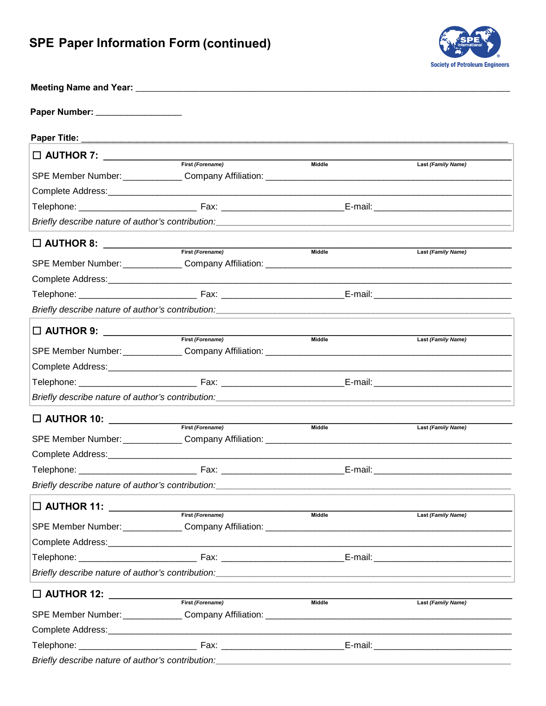## **SPE Paper Information Form (continued)**



| Paper Number: ___________________                                                                           |                                                                                                                                                                                                                                |               |                           |
|-------------------------------------------------------------------------------------------------------------|--------------------------------------------------------------------------------------------------------------------------------------------------------------------------------------------------------------------------------|---------------|---------------------------|
|                                                                                                             |                                                                                                                                                                                                                                |               |                           |
|                                                                                                             |                                                                                                                                                                                                                                |               |                           |
|                                                                                                             |                                                                                                                                                                                                                                | Middle        | Last (Family Name)        |
|                                                                                                             |                                                                                                                                                                                                                                |               |                           |
|                                                                                                             |                                                                                                                                                                                                                                |               |                           |
|                                                                                                             |                                                                                                                                                                                                                                |               |                           |
|                                                                                                             |                                                                                                                                                                                                                                |               |                           |
| $\square$ AUTHOR 8: $\_\_\_\_\_\_\_\_\_\_\_\_\_\_\_\_\_\_\_\_$                                              | First (Forename)                                                                                                                                                                                                               | Middle        | Last (Family Name)        |
|                                                                                                             |                                                                                                                                                                                                                                |               |                           |
|                                                                                                             |                                                                                                                                                                                                                                |               |                           |
|                                                                                                             |                                                                                                                                                                                                                                |               |                           |
|                                                                                                             |                                                                                                                                                                                                                                |               |                           |
| $\square$ AUTHOR 9: $\_\_\_\_\_\_\_\_\_\_\_\_\_\_\_\_\_\_\_\_$                                              |                                                                                                                                                                                                                                |               |                           |
|                                                                                                             | First (Forename)                                                                                                                                                                                                               | <b>Middle</b> | <b>Last (Family Name)</b> |
|                                                                                                             |                                                                                                                                                                                                                                |               |                           |
|                                                                                                             |                                                                                                                                                                                                                                |               |                           |
|                                                                                                             |                                                                                                                                                                                                                                |               |                           |
|                                                                                                             | Briefly describe nature of author's contribution: \\esp \\esp \\esp \\esp \\esp \\esp \\esp \\esp \\esp \\esp \\esp \\esp \\esp \\esp \\esp \\esp \\esp \\esp \\esp \\esp \\esp \\esp \\esp \\esp \\esp \\esp \\esp \\esp \\es |               |                           |
| □ AUTHOR 10: ____________                                                                                   |                                                                                                                                                                                                                                |               |                           |
|                                                                                                             | First (Forename)                                                                                                                                                                                                               | Middle        | Last (Family Name)        |
|                                                                                                             |                                                                                                                                                                                                                                |               |                           |
|                                                                                                             |                                                                                                                                                                                                                                |               |                           |
|                                                                                                             |                                                                                                                                                                                                                                |               |                           |
| Briefly describe nature of author's contribution:                                                           |                                                                                                                                                                                                                                |               |                           |
| $\boxed{\fbox{$\fbox{$\Box$ AUTHOR 11:}\quad \underbrace{\qquad \qquad \qquad}_{\text{First (Forename)}}$}$ |                                                                                                                                                                                                                                | <b>Middle</b> |                           |
|                                                                                                             |                                                                                                                                                                                                                                |               | Last (Family Name)        |
|                                                                                                             |                                                                                                                                                                                                                                |               |                           |
|                                                                                                             |                                                                                                                                                                                                                                |               |                           |
|                                                                                                             | Briefly describe nature of author's contribution: https://www.community.community.community.community.communit                                                                                                                 |               |                           |
| $\square$ AUTHOR 12: $\square$                                                                              |                                                                                                                                                                                                                                |               |                           |
|                                                                                                             | First (Forename)                                                                                                                                                                                                               | Middle        | Last (Family Name)        |
|                                                                                                             |                                                                                                                                                                                                                                |               |                           |
|                                                                                                             |                                                                                                                                                                                                                                |               |                           |
|                                                                                                             |                                                                                                                                                                                                                                |               |                           |
|                                                                                                             | Briefly describe nature of author's contribution: National Content of the content of the content of the content of the content of the content of the content of the content of the content of the content of the content of th |               |                           |